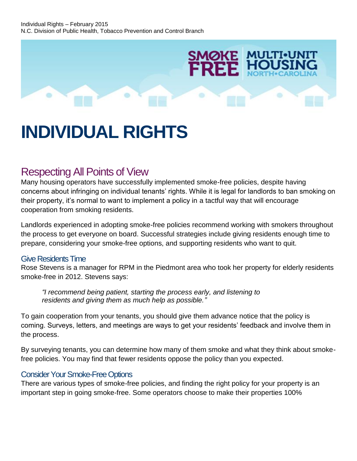

# **INDIVIDUAL RIGHTS**

## Respecting All Points of View

Many housing operators have successfully implemented smoke-free policies, despite having concerns about infringing on individual tenants' rights. While it is legal for landlords to ban smoking on their property, it's normal to want to implement a policy in a tactful way that will encourage cooperation from smoking residents.

Landlords experienced in adopting smoke-free policies recommend working with smokers throughout the process to get everyone on board. Successful strategies include giving residents enough time to prepare, considering your smoke-free options, and supporting residents who want to quit.

#### Give Residents Time

Rose Stevens is a manager for RPM in the Piedmont area who took her property for elderly residents smoke-free in 2012. Stevens says:

*"I recommend being patient, starting the process early, and listening to residents and giving them as much help as possible."*

To gain cooperation from your tenants, you should give them advance notice that the policy is coming. Surveys, letters, and meetings are ways to get your residents' feedback and involve them in the process.

By surveying tenants, you can determine how many of them smoke and what they think about smokefree policies. You may find that fewer residents oppose the policy than you expected.

#### Consider Your Smoke-Free Options

There are various types of smoke-free policies, and finding the right policy for your property is an important step in going smoke-free. Some operators choose to make their properties 100%